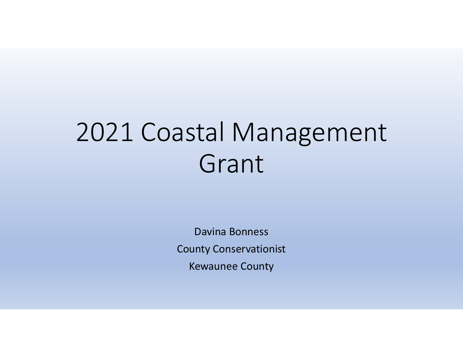# 2021 Coastal Management Grant

Davina BonnessCounty ConservationistKewaunee County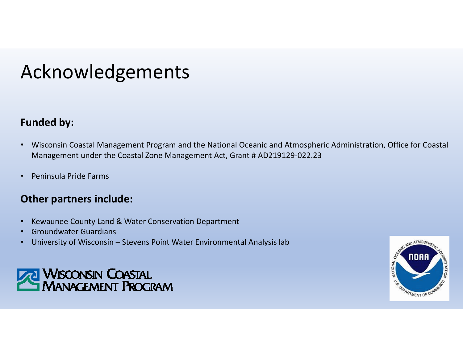### Acknowledgements

#### **Funded by:**

- $\bullet$  Wisconsin Coastal Management Program and the National Oceanic and Atmospheric Administration, Office for Coastal Management under the Coastal Zone Management Act, Grant # AD219129-022.23
- •Peninsula Pride Farms

#### **Other partners include:**

- •Kewaunee County Land & Water Conservation Department
- •Groundwater Guardians
- University of Wisconsin Stevens Point Water Environmental Analysis lab•



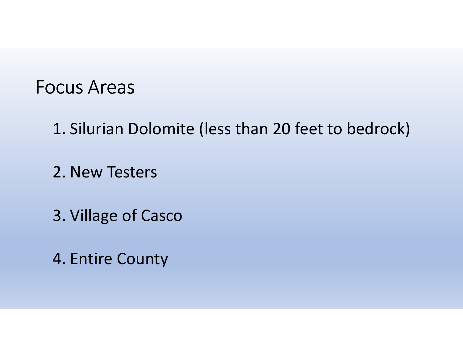#### Focus Areas

- 1. Silurian Dolomite (less than 20 feet to bedrock)
- 2. New Testers
- 3. Village of Casco
- 4. Entire County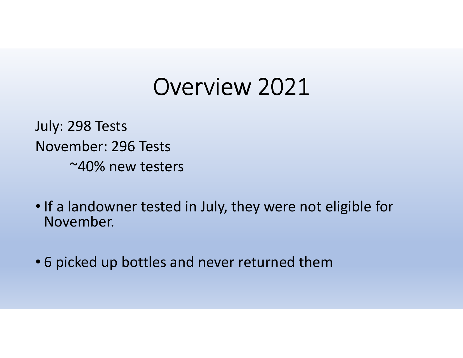## Overview 2021

July: 298 TestsNovember: 296 Tests ~40% new testers

- If a landowner tested in July, they were not eligible for November.
- 6 picked up bottles and never returned them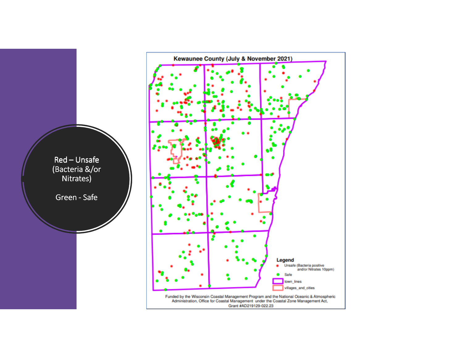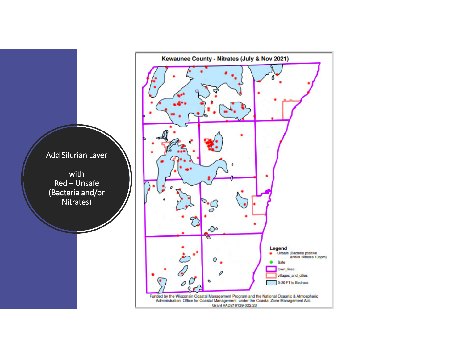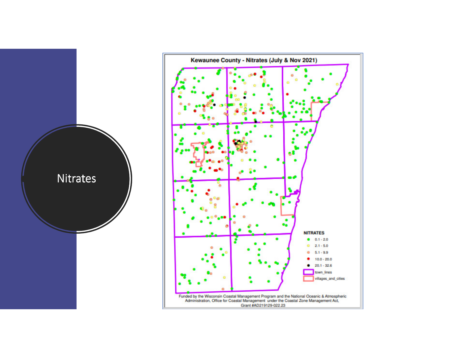

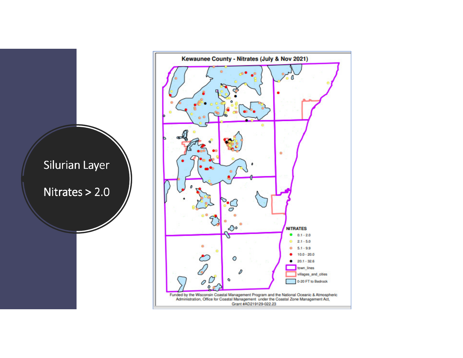

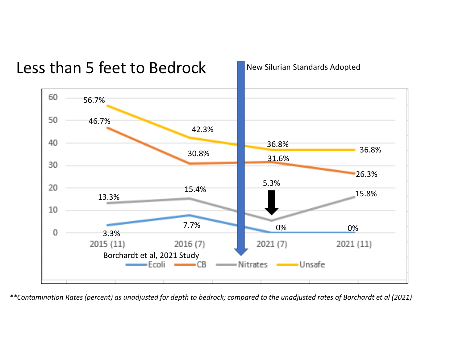

*\*\*Contamination Rates (percent) as unadjusted for depth to bedrock; compared to the unadjusted rates of Borchardt et al (2021)*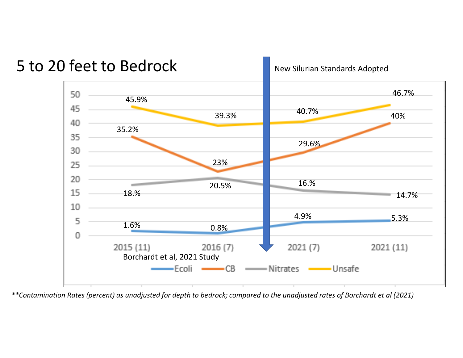

5 to 20 feet to Bedrock

New Silurian Standards Adopted

*\*\*Contamination Rates (percent) as unadjusted for depth to bedrock; compared to the unadjusted rates of Borchardt et al (2021)*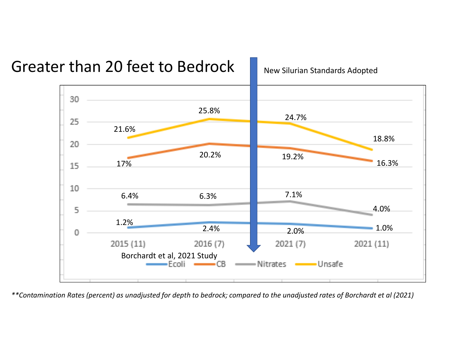

*\*\*Contamination Rates (percent) as unadjusted for depth to bedrock; compared to the unadjusted rates of Borchardt et al (2021)*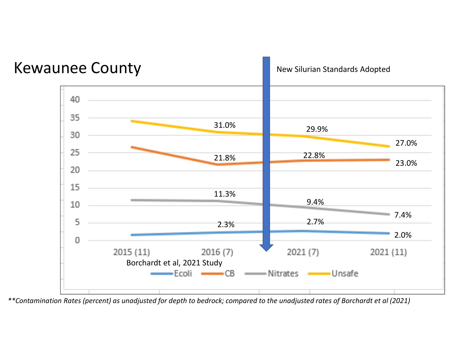

*\*\*Contamination Rates (percent) as unadjusted for depth to bedrock; compared to the unadjusted rates of Borchardt et al (2021)*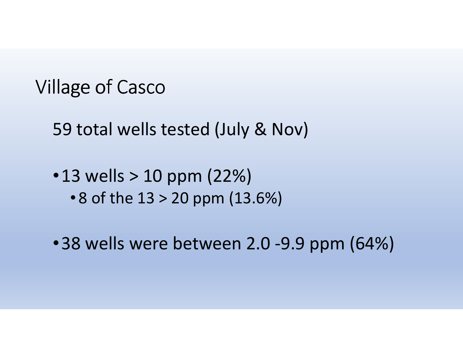### Village of Casco

59 total wells tested (July & Nov)

• 13 wells > 10 ppm (22%) • 8 of the 13 > 20 ppm (13.6%)

•38 wells were between 2.0 -9.9 ppm (64%)